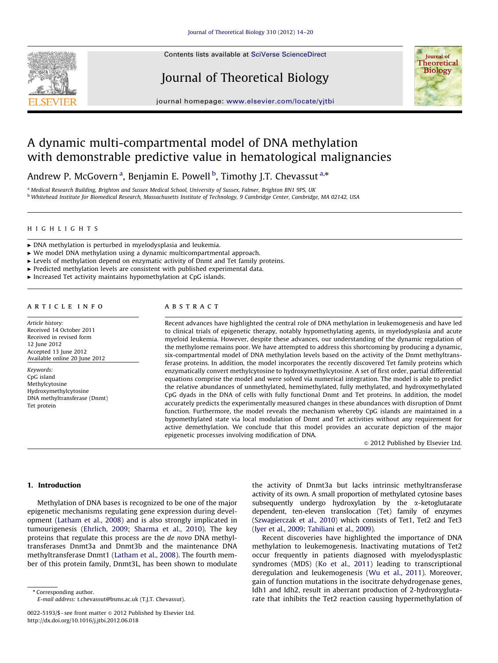Contents lists available at [SciVerse ScienceDirect](www.elsevier.com/locate/yjtbi)

# Journal of Theoretical Biology



journal homepage: <www.elsevier.com/locate/yjtbi>

# A dynamic multi-compartmental model of DNA methylation with demonstrable predictive value in hematological malignancies

Andrew P. McGovern <sup>a</sup>, Benjamin E. Powell <sup>b</sup>, Timothy J.T. Chevassut <sup>a,\*</sup>

a Medical Research Building, Brighton and Sussex Medical School, University of Sussex, Falmer, Brighton BN1 9PS, UK <sup>b</sup> Whitehead Institute for Biomedical Research, Massachusetts Institute of Technology, 9 Cambridge Center, Cambridge, MA 02142, USA

## HIGHLIGHTS

- $\triangleright$  DNA methylation is perturbed in myelodysplasia and leukemia.
- $\triangleright$  We model DNA methylation using a dynamic multicompartmental approach.
- $\blacktriangleright$  Levels of methylation depend on enzymatic activity of Dnmt and Tet family proteins.
- $\blacktriangleright$  Predicted methylation levels are consistent with published experimental data.
- $\blacktriangleright$  Increased Tet activity maintains hypomethylation at CpG islands.

#### article info

Article history: Received 14 October 2011 Received in revised form 12 June 2012 Accepted 13 June 2012 Available online 20 June 2012

Keywords: CpG island Methylcytosine Hydroxymethylcytosine DNA methyltransferase (Dnmt) Tet protein

# abstract

Recent advances have highlighted the central role of DNA methylation in leukemogenesis and have led to clinical trials of epigenetic therapy, notably hypomethylating agents, in myelodysplasia and acute myeloid leukemia. However, despite these advances, our understanding of the dynamic regulation of the methylome remains poor. We have attempted to address this shortcoming by producing a dynamic, six-compartmental model of DNA methylation levels based on the activity of the Dnmt methyltransferase proteins. In addition, the model incorporates the recently discovered Tet family proteins which enzymatically convert methylcytosine to hydroxymethylcytosine. A set of first order, partial differential equations comprise the model and were solved via numerical integration. The model is able to predict the relative abundances of unmethylated, hemimethylated, fully methylated, and hydroxymethylated CpG dyads in the DNA of cells with fully functional Dnmt and Tet proteins. In addition, the model accurately predicts the experimentally measured changes in these abundances with disruption of Dnmt function. Furthermore, the model reveals the mechanism whereby CpG islands are maintained in a hypomethylated state via local modulation of Dnmt and Tet activities without any requirement for active demethylation. We conclude that this model provides an accurate depiction of the major epigenetic processes involving modification of DNA.

 $@$  2012 Published by Elsevier Ltd.

# 1. Introduction

Methylation of DNA bases is recognized to be one of the major epigenetic mechanisms regulating gene expression during development ([Latham et al., 2008\)](#page-5-0) and is also strongly implicated in tumourigenesis ([Ehrlich, 2009;](#page-5-0) [Sharma et al., 2010\)](#page-5-0). The key proteins that regulate this process are the de novo DNA methyltransferases Dnmt3a and Dnmt3b and the maintenance DNA methyltransferase Dnmt1 ([Latham et al., 2008](#page-5-0)). The fourth member of this protein family, Dnmt3L, has been shown to modulate

\* Corresponding author. E-mail address: [t.chevassut@bsms.ac.uk \(T.J.T. Chevassut\).](mailto:t.chevassut@bsms.ac.uk) the activity of Dnmt3a but lacks intrinsic methyltransferase activity of its own. A small proportion of methylated cytosine bases subsequently undergo hydroxylation by the *x*-ketoglutarate dependent, ten-eleven translocation (Tet) family of enzymes ([Szwagierczak et al., 2010\)](#page-5-0) which consists of Tet1, Tet2 and Tet3 ([Iyer et al., 2009;](#page-5-0) [Tahiliani et al., 2009](#page-6-0)).

Recent discoveries have highlighted the importance of DNA methylation to leukemogenesis. Inactivating mutations of Tet2 occur frequently in patients diagnosed with myelodysplastic syndromes (MDS) ([Ko et al., 2011\)](#page-5-0) leading to transcriptional deregulation and leukemogenesis [\(Wu et al., 2011\)](#page-6-0). Moreover, gain of function mutations in the isocitrate dehydrogenase genes, Idh1 and Idh2, result in aberrant production of 2-hydroxyglutarate that inhibits the Tet2 reaction causing hypermethylation of

<sup>0022-5193/\$ -</sup> see front matter @ 2012 Published by Elsevier Ltd. [http://dx.doi.org/10.1016/j.jtbi.2012.06.018](dx.doi.org/10.1016/j.jtbi.2012.06.018)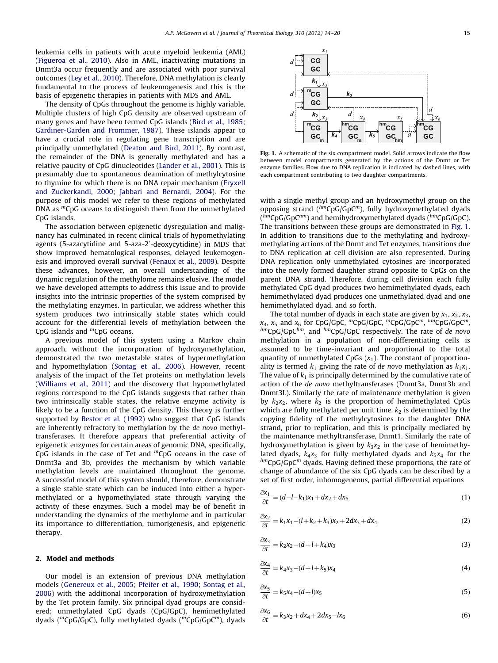leukemia cells in patients with acute myeloid leukemia (AML) ([Figueroa et al., 2010](#page-5-0)). Also in AML, inactivating mutations in Dnmt3a occur frequently and are associated with poor survival outcomes [\(Ley et al., 2010](#page-5-0)). Therefore, DNA methylation is clearly fundamental to the process of leukemogenesis and this is the basis of epigenetic therapies in patients with MDS and AML.

The density of CpGs throughout the genome is highly variable. Multiple clusters of high CpG density are observed upstream of many genes and have been termed CpG islands ([Bird et al., 1985;](#page-5-0) [Gardiner-Garden and Frommer, 1987](#page-5-0)). These islands appear to have a crucial role in regulating gene transcription and are principally unmethylated [\(Deaton and Bird, 2011](#page-5-0)). By contrast, the remainder of the DNA is generally methylated and has a relative paucity of CpG dinucleotides [\(Lander et al., 2001](#page-5-0)). This is presumably due to spontaneous deamination of methylcytosine to thymine for which there is no DNA repair mechanism ([Fryxell](#page-5-0) [and Zuckerkandl, 2000](#page-5-0); [Jabbari and Bernardi, 2004\)](#page-5-0). For the purpose of this model we refer to these regions of methylated DNA as  ${}^mCpG$  oceans to distinguish them from the unmethylated CpG islands.

The association between epigenetic dysregulation and malignancy has culminated in recent clinical trials of hypomethylating agents (5-azacytidine and 5-aza-2'-deoxycytidine) in MDS that show improved hematological responses, delayed leukemogenesis and improved overall survival ([Fenaux et al., 2009\)](#page-5-0). Despite these advances, however, an overall understanding of the dynamic regulation of the methylome remains elusive. The model we have developed attempts to address this issue and to provide insights into the intrinsic properties of the system comprised by the methylating enzymes. In particular, we address whether this system produces two intrinsically stable states which could account for the differential levels of methylation between the CpG islands and  ${}^m$ CpG oceans.

A previous model of this system using a Markov chain approach, without the incorporation of hydroxymethylation, demonstrated the two metastable states of hypermethylation and hypomethylation ([Sontag et al., 2006\)](#page-5-0). However, recent analysis of the impact of the Tet proteins on methylation levels ([Williams et al., 2011](#page-6-0)) and the discovery that hypomethylated regions correspond to the CpG islands suggests that rather than two intrinsically stable states, the relative enzyme activity is likely to be a function of the CpG density. This theory is further supported by [Bestor et al. \(1992\)](#page-5-0) who suggest that CpG islands are inherently refractory to methylation by the de novo methyltransferases. It therefore appears that preferential activity of epigenetic enzymes for certain areas of genomic DNA, specifically, CpG islands in the case of Tet and  ${}^m$ CpG oceans in the case of Dnmt3a and 3b, provides the mechanism by which variable methylation levels are maintained throughout the genome. A successful model of this system should, therefore, demonstrate a single stable state which can be induced into either a hypermethylated or a hypomethylated state through varying the activity of these enzymes. Such a model may be of benefit in understanding the dynamics of the methylome and in particular its importance to differentiation, tumorigenesis, and epigenetic therapy.

### 2. Model and methods

Our model is an extension of previous DNA methylation models ([Genereux et al., 2005;](#page-5-0) [Pfeifer et al., 1990](#page-5-0); [Sontag et al.,](#page-5-0) [2006\)](#page-5-0) with the additional incorporation of hydroxymethylation by the Tet protein family. Six principal dyad groups are considered; unmethylated CpG dyads (CpG/GpC), hemimethylated dyads (<sup>m</sup>CpG/GpC), fully methylated dyads (<sup>m</sup>CpG/GpC<sup>m</sup>), dyads



Fig. 1. A schematic of the six compartment model. Solid arrows indicate the flow between model compartments generated by the actions of the Dnmt or Tet enzyme families. Flow due to DNA replication is indicated by dashed lines, with each compartment contributing to two daughter compartments.

with a single methyl group and an hydroxymethyl group on the opposing strand  $(^{hm}CpG/GpC^m)$ , fully hydroxymethylated dyads  $\binom{hm}{p}$ CpG/GpC<sup>hm</sup>) and hemihydroxymethylated dyads ( $\binom{hm}{p}$ CpG/GpC). The transitions between these groups are demonstrated in Fig. 1. In addition to transitions due to the methylating and hydroxymethylating actions of the Dnmt and Tet enzymes, transitions due to DNA replication at cell division are also represented. During DNA replication only unmethylated cytosines are incorporated into the newly formed daughter strand opposite to CpGs on the parent DNA strand. Therefore, during cell division each fully methylated CpG dyad produces two hemimethylated dyads, each hemimethylated dyad produces one unmethylated dyad and one hemimethylated dyad, and so forth.

The total number of dyads in each state are given by  $x_1$ ,  $x_2$ ,  $x_3$ ,  $x_4$ ,  $x_5$  and  $x_6$  for CpG/GpC,  ${}^m$ CpG/GpC,  ${}^m$ CpG/GpC,  ${}^m$ CpG/GpC,  ${}^m$ CpG/GpC,  ${}^m$ CpG/GpC,  ${}^m$ CpG/GpC,  ${}^m$ CpG/GpC,  ${}^m$ CpG/GpC,  $h$ <sup>tm</sup>CpG/GpC<sup>hm</sup>, and  $h$ <sup>m</sup>CpG/GpC respectively. The rate of de novo methylation in a population of non-differentiating cells is assumed to be time-invariant and proportional to the total quantity of unmethylated CpGs  $(x_1)$ . The constant of proportionality is termed  $k_1$  giving the rate of de novo methylation as  $k_1x_1$ . The value of  $k_1$  is principally determined by the cumulative rate of action of the de novo methyltransferases (Dnmt3a, Dnmt3b and Dnmt3L). Similarly the rate of maintenance methylation is given by  $k_2x_2$ , where  $k_2$  is the proportion of hemimethylated CpGs which are fully methylated per unit time.  $k_2$  is determined by the copying fidelity of the methylcytosines to the daughter DNA strand, prior to replication, and this is principally mediated by the maintenance methyltransferase, Dnmt1. Similarly the rate of hydroxymethylation is given by  $k_3x_2$  in the case of hemimethylated dyads,  $k_4x_3$  for fully methylated dyads and  $k_5x_4$  for the  $h^{mn}CpG/GpC^m$  dyads. Having defined these proportions, the rate of change of abundance of the six CpG dyads can be described by a set of first order, inhomogeneous, partial differential equations

$$
\frac{\partial x_1}{\partial t} = (d - l - k_1)x_1 + dx_2 + dx_6 \tag{1}
$$

$$
\frac{\partial x_2}{\partial t} = k_1 x_1 - (l + k_2 + k_3) x_2 + 2dx_3 + dx_4 \tag{2}
$$

$$
\frac{\partial x_3}{\partial t} = k_2 x_2 - (d + l + k_4) x_3 \tag{3}
$$

$$
\frac{\partial x_4}{\partial t} = k_4 x_3 - (d + l + k_5) x_4 \tag{4}
$$

$$
\frac{\partial x_5}{\partial t} = k_5 x_4 - (d+1)x_5 \tag{5}
$$

$$
\frac{\partial x_6}{\partial t} = k_3 x_2 + dx_4 + 2dx_5 - k_6 \tag{6}
$$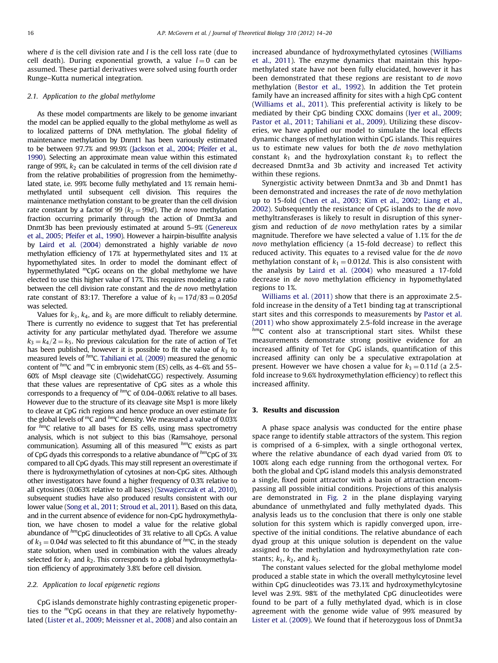where  $d$  is the cell division rate and  $l$  is the cell loss rate (due to cell death). During exponential growth, a value  $l = 0$  can be assumed. These partial derivatives were solved using fourth order Runge–Kutta numerical integration.

#### 2.1. Application to the global methylome

As these model compartments are likely to be genome invariant the model can be applied equally to the global methylome as well as to localized patterns of DNA methylation. The global fidelity of maintenance methylation by Dnmt1 has been variously estimated to be between 97.7% and 99.9% [\(Jackson et al., 2004;](#page-5-0) [Pfeifer et al.,](#page-5-0) [1990\)](#page-5-0). Selecting an approximate mean value within this estimated range of 99%,  $k_2$  can be calculated in terms of the cell division rate d from the relative probabilities of progression from the hemimethylated state, i.e. 99% become fully methylated and 1% remain hemimethylated until subsequent cell division. This requires the maintenance methylation constant to be greater than the cell division rate constant by a factor of 99 ( $k_2 = 99d$ ). The *de novo* methylation fraction occurring primarily through the action of Dnmt3a and Dnmt3b has been previously estimated at around 5–9% [\(Genereux](#page-5-0) [et al., 2005](#page-5-0); [Pfeifer et al., 1990\)](#page-5-0). However a hairpin-bisulfite analysis by [Laird et al. \(2004\)](#page-5-0) demonstrated a highly variable de novo methylation efficiency of 17% at hypermethylated sites and 1% at hypomethylated sites. In order to model the dominant effect of hypermethylated  ${}^m$ CpG oceans on the global methylome we have elected to use this higher value of 17%. This requires modeling a ratio between the cell division rate constant and the de novo methylation rate constant of 83:17. Therefore a value of  $k_1 = 17d/83 = 0.205d$ was selected.

Values for  $k_3$ ,  $k_4$ , and  $k_5$  are more difficult to reliably determine. There is currently no evidence to suggest that Tet has preferential activity for any particular methylated dyad. Therefore we assume  $k_3=k_4/2=k_5$ . No previous calculation for the rate of action of Tet has been published, however it is possible to fit the value of  $k_3$  to measured levels of  $<sup>hm</sup>C$ . [Tahiliani et al. \(2009\)](#page-6-0) measured the genomic</sup> content of  $h$ mC and mC in embryonic stem (ES) cells, as 4–6% and 55– 60% of MspI cleavage site (C\widehatCGG) respectively. Assuming that these values are representative of CpG sites as a whole this corresponds to a frequency of  $\hbar$ mC of 0.04–0.06% relative to all bases. However due to the structure of its cleavage site Msp1 is more likely to cleave at CpG rich regions and hence produce an over estimate for the global levels of  $^mC$  and  $^{\text{hm}}C$  density. We measured a value of 0.03% for  $h$ <sup>m</sup>C relative to all bases for ES cells, using mass spectrometry analysis, which is not subject to this bias (Ramsahoye, personal communication). Assuming all of this measured  $<sup>hm</sup>C$  exists as part</sup> of CpG dyads this corresponds to a relative abundance of  $\hbar m$ CpG of 3% compared to all CpG dyads. This may still represent an overestimate if there is hydroxymethylation of cytosines at non-CpG sites. Although other investigators have found a higher frequency of 0.3% relative to all cytosines (0.063% relative to all bases) [\(Szwagierczak et al., 2010](#page-5-0)), subsequent studies have also produced results consistent with our lower value [\(Song et al., 2011](#page-5-0); [Stroud et al., 2011](#page-5-0)). Based on this data, and in the current absence of evidence for non-CpG hydroxymethylation, we have chosen to model a value for the relative global abundance of  $\hbar m$ CpG dinucleotides of 3% relative to all CpGs. A value of  $k_3 = 0.04d$  was selected to fit this abundance of  $h$ <sup>m</sup>C, in the steady state solution, when used in combination with the values already selected for  $k_1$  and  $k_2$ . This corresponds to a global hydroxymethylation efficiency of approximately 3.8% before cell division.

#### 2.2. Application to local epigenetic regions

CpG islands demonstrate highly contrasting epigenetic properties to the  ${}^mCpG$  oceans in that they are relatively hypomethylated [\(Lister et al., 2009;](#page-5-0) [Meissner et al., 2008](#page-5-0)) and also contain an increased abundance of hydroxymethylated cytosines [\(Williams](#page-6-0) [et al., 2011](#page-6-0)). The enzyme dynamics that maintain this hypomethylated state have not been fully elucidated, however it has been demonstrated that these regions are resistant to de novo methylation [\(Bestor et al., 1992](#page-5-0)). In addition the Tet protein family have an increased affinity for sites with a high CpG content ([Williams et al., 2011\)](#page-6-0). This preferential activity is likely to be mediated by their CpG binding CXXC domains ([Iyer et al., 2009;](#page-5-0) [Pastor et al., 2011](#page-5-0); [Tahiliani et al., 2009\)](#page-6-0). Utilizing these discoveries, we have applied our model to simulate the local effects dynamic changes of methylation within CpG islands. This requires us to estimate new values for both the de novo methylation constant  $k_1$  and the hydroxylation constant  $k_3$  to reflect the decreased Dnmt3a and 3b activity and increased Tet activity within these regions.

Synergistic activity between Dnmt3a and 3b and Dnmt1 has been demonstrated and increases the rate of de novo methylation up to 15-fold ([Chen et al., 2003](#page-5-0); [Kim et al., 2002](#page-5-0); [Liang et al.,](#page-5-0) [2002\)](#page-5-0). Subsequently the resistance of CpG islands to the de novo methyltransferases is likely to result in disruption of this synergism and reduction of de novo methylation rates by a similar magnitude. Therefore we have selected a value of 1.1% for the de novo methylation efficiency (a 15-fold decrease) to reflect this reduced activity. This equates to a revised value for the de novo methylation constant of  $k_1 = 0.012d$ . This is also consistent with the analysis by [Laird et al. \(2004\)](#page-5-0) who measured a 17-fold decrease in de novo methylation efficiency in hypomethylated regions to 1%.

[Williams et al. \(2011\)](#page-6-0) show that there is an approximate 2.5 fold increase in the density of a Tet1 binding tag at transcriptional start sites and this corresponds to measurements by [Pastor et al.](#page-5-0) [\(2011\)](#page-5-0) who show approximately 2.5-fold increase in the average  $h$ <sup>m</sup>C content also at transcriptional start sites. Whilst these measurements demonstrate strong positive evidence for an increased affinity of Tet for CpG islands, quantification of this increased affinity can only be a speculative extrapolation at present. However we have chosen a value for  $k_3 = 0.11d$  (a 2.5fold increase to 9.6% hydroxymethylation efficiency) to reflect this increased affinity.

## 3. Results and discussion

A phase space analysis was conducted for the entire phase space range to identify stable attractors of the system. This region is comprised of a 6-simplex, with a single orthogonal vertex, where the relative abundance of each dyad varied from 0% to 100% along each edge running from the orthogonal vertex. For both the global and CpG island models this analysis demonstrated a single, fixed point attractor with a basin of attraction encompassing all possible initial conditions. Projections of this analysis are demonstrated in [Fig. 2](#page-3-0) in the plane displaying varying abundance of unmethylated and fully methylated dyads. This analysis leads us to the conclusion that there is only one stable solution for this system which is rapidly converged upon, irrespective of the initial conditions. The relative abundance of each dyad group at this unique solution is dependent on the value assigned to the methylation and hydroxymethylation rate constants;  $k_1$ ,  $k_2$ , and  $k_3$ .

The constant values selected for the global methylome model produced a stable state in which the overall methylcytosine level within CpG dinucleotides was 73.1% and hydroxymethylcytosine level was 2.9%. 98% of the methylated CpG dinucleotides were found to be part of a fully methylated dyad, which is in close agreement with the genome wide value of 99% measured by [Lister et al. \(2009\)](#page-5-0). We found that if heterozygous loss of Dnmt3a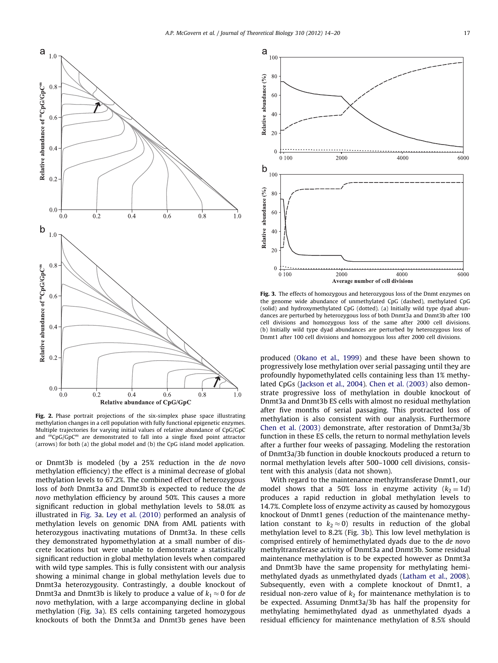<span id="page-3-0"></span>

Fig. 2. Phase portrait projections of the six-simplex phase space illustrating methylation changes in a cell population with fully functional epigenetic enzymes. Multiple trajectories for varying initial values of relative abundance of CpG/GpC and  ${}^mCpG/GpC^m$  are demonstrated to fall into a single fixed point attractor (arrows) for both (a) the global model and (b) the CpG island model application.

or Dnmt3b is modeled (by a 25% reduction in the de novo methylation efficiency) the effect is a minimal decrease of global methylation levels to 67.2%. The combined effect of heterozygous loss of both Dnmt3a and Dnmt3b is expected to reduce the de novo methylation efficiency by around 50%. This causes a more significant reduction in global methylation levels to 58.0% as illustrated in Fig. 3a. [Ley et al. \(2010\)](#page-5-0) performed an analysis of methylation levels on genomic DNA from AML patients with heterozygous inactivating mutations of Dnmt3a. In these cells they demonstrated hypomethylation at a small number of discrete locations but were unable to demonstrate a statistically significant reduction in global methylation levels when compared with wild type samples. This is fully consistent with our analysis showing a minimal change in global methylation levels due to Dnmt3a heterozygousity. Contrastingly, a double knockout of Dnmt3a and Dnmt3b is likely to produce a value of  $k_1 \approx 0$  for de novo methylation, with a large accompanying decline in global methylation (Fig. 3a). ES cells containing targeted homozygous knockouts of both the Dnmt3a and Dnmt3b genes have been



Fig. 3. The effects of homozygous and heterozygous loss of the Dnmt enzymes on the genome wide abundance of unmethylated CpG (dashed), methylated CpG (solid) and hydroxymethylated CpG (dotted). (a) Initially wild type dyad abundances are perturbed by heterozygous loss of both Dnmt3a and Dnmt3b after 100 cell divisions and homozygous loss of the same after 2000 cell divisions. (b) Initially wild type dyad abundances are perturbed by heterozygous loss of Dnmt1 after 100 cell divisions and homozygous loss after 2000 cell divisions.

produced ([Okano et al., 1999\)](#page-5-0) and these have been shown to progressively lose methylation over serial passaging until they are profoundly hypomethylated cells containing less than 1% methylated CpGs [\(Jackson et al., 2004](#page-5-0)). [Chen et al. \(2003\)](#page-5-0) also demonstrate progressive loss of methylation in double knockout of Dnmt3a and Dnmt3b ES cells with almost no residual methylation after five months of serial passaging. This protracted loss of methylation is also consistent with our analysis. Furthermore [Chen et al. \(2003\)](#page-5-0) demonstrate, after restoration of Dnmt3a/3b function in these ES cells, the return to normal methylation levels after a further four weeks of passaging. Modeling the restoration of Dnmt3a/3b function in double knockouts produced a return to normal methylation levels after 500–1000 cell divisions, consistent with this analysis (data not shown).

With regard to the maintenance methyltransferase Dnmt1, our model shows that a 50% loss in enzyme activity  $(k_2 = 1d)$ produces a rapid reduction in global methylation levels to 14.7%. Complete loss of enzyme activity as caused by homozygous knockout of Dnmt1 genes (reduction of the maintenance methylation constant to  $k_2 \approx 0$ ) results in reduction of the global methylation level to 8.2% (Fig. 3b). This low level methylation is comprised entirely of hemimethylated dyads due to the de novo methyltransferase activity of Dnmt3a and Dnmt3b. Some residual maintenance methylation is to be expected however as Dnmt3a and Dnmt3b have the same propensity for methylating hemimethylated dyads as unmethylated dyads ([Latham et al., 2008\)](#page-5-0). Subsequently, even with a complete knockout of Dnmt1, a residual non-zero value of  $k<sub>2</sub>$  for maintenance methylation is to be expected. Assuming Dnmt3a/3b has half the propensity for methylating hemimethylated dyad as unmethylated dyads a residual efficiency for maintenance methylation of 8.5% should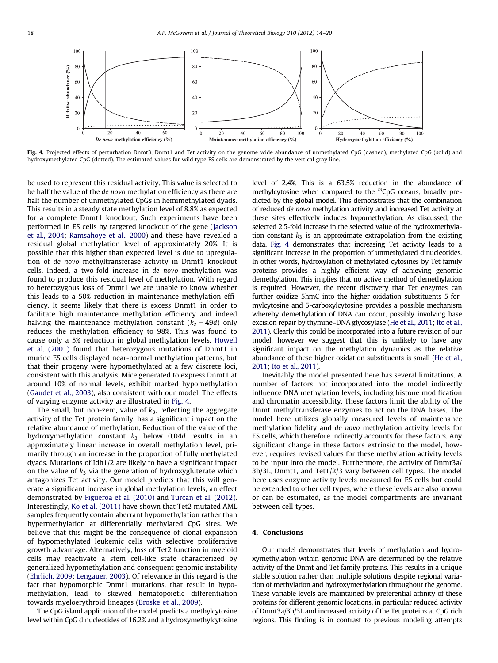

Fig. 4. Projected effects of perturbation Dnmt3, Dnmt1 and Tet activity on the genome wide abundance of unmethylated CpG (dashed), methylated CpG (solid) and hydroxymethylated CpG (dotted). The estimated values for wild type ES cells are demonstrated by the vertical gray line.

be used to represent this residual activity. This value is selected to be half the value of the de novo methylation efficiency as there are half the number of unmethylated CpGs in hemimethylated dyads. This results in a steady state methylation level of 8.8% as expected for a complete Dnmt1 knockout. Such experiments have been performed in ES cells by targeted knockout of the gene ([Jackson](#page-5-0) [et al., 2004;](#page-5-0) [Ramsahoye et al., 2000](#page-5-0)) and these have revealed a residual global methylation level of approximately 20%. It is possible that this higher than expected level is due to upregulation of de novo methyltransferase activity in Dnmt1 knockout cells. Indeed, a two-fold increase in de novo methylation was found to produce this residual level of methylation. With regard to heterozygous loss of Dnmt1 we are unable to know whether this leads to a 50% reduction in maintenance methylation efficiency. It seems likely that there is excess Dnmt1 in order to facilitate high maintenance methylation efficiency and indeed halving the maintenance methylation constant  $(k_2 = 49d)$  only reduces the methylation efficiency to 98%. This was found to cause only a 5% reduction in global methylation levels. [Howell](#page-5-0) [et al. \(2001\)](#page-5-0) found that heterozygous mutations of Dnmt1 in murine ES cells displayed near-normal methylation patterns, but that their progeny were hypomethylated at a few discrete loci, consistent with this analysis. Mice generated to express Dnmt1 at around 10% of normal levels, exhibit marked hypomethylation ([Gaudet et al., 2003](#page-5-0)), also consistent with our model. The effects of varying enzyme activity are illustrated in Fig. 4.

The small, but non-zero, value of  $k_3$ , reflecting the aggregate activity of the Tet protein family, has a significant impact on the relative abundance of methylation. Reduction of the value of the hydroxymethylation constant  $k_3$  below 0.04d results in an approximately linear increase in overall methylation level, primarily through an increase in the proportion of fully methylated dyads. Mutations of Idh1/2 are likely to have a significant impact on the value of  $k_3$  via the generation of hydroxygluterate which antagonizes Tet activity. Our model predicts that this will generate a significant increase in global methylation levels, an effect demonstrated by [Figueroa et al. \(2010\)](#page-5-0) and [Turcan et al. \(2012\).](#page-6-0) Interestingly, [Ko et al. \(2011\)](#page-5-0) have shown that Tet2 mutated AML samples frequently contain aberrant hypomethylation rather than hypermethylation at differentially methylated CpG sites. We believe that this might be the consequence of clonal expansion of hypomethylated leukemic cells with selective proliferative growth advantage. Alternatively, loss of Tet2 function in myeloid cells may reactivate a stem cell-like state characterized by generalized hypomethylation and consequent genomic instability ([Ehrlich, 2009](#page-5-0); [Lengauer, 2003](#page-5-0)). Of relevance in this regard is the fact that hypomorphic Dnmt1 mutations, that result in hypomethylation, lead to skewed hematopoietic differentiation towards myeloerythroid lineages ([Broske et al., 2009](#page-5-0)).

The CpG island application of the model predicts a methylcytosine level within CpG dinucleotides of 16.2% and a hydroxymethylcytosine

level of 2.4%. This is a 63.5% reduction in the abundance of methylcytosine when compared to the  ${}^mCpG$  oceans, broadly predicted by the global model. This demonstrates that the combination of reduced de novo methylation activity and increased Tet activity at these sites effectively induces hypomethylation. As discussed, the selected 2.5-fold increase in the selected value of the hydroxmethylation constant  $k_3$  is an approximate extrapolation from the existing data. Fig. 4 demonstrates that increasing Tet activity leads to a significant increase in the proportion of unmethylated dinucleotides. In other words, hydroxylation of methylated cytosines by Tet family proteins provides a highly efficient way of achieving genomic demethylation. This implies that no active method of demethylation is required. However, the recent discovery that Tet enzymes can further oxidize 5hmC into the higher oxidation substituents 5-formylcytosine and 5-carboxylcytosine provides a possible mechanism whereby demethylation of DNA can occur, possibly involving base excision repair by thymine–DNA glycosylase [\(He et al., 2011](#page-5-0); [Ito et al.,](#page-5-0) [2011\)](#page-5-0). Clearly this could be incorporated into a future revision of our model, however we suggest that this is unlikely to have any significant impact on the methylation dynamics as the relative abundance of these higher oxidation substituents is small [\(He et al.,](#page-5-0) [2011;](#page-5-0) [Ito et al., 2011](#page-5-0)).

Inevitably the model presented here has several limitations. A number of factors not incorporated into the model indirectly influence DNA methylation levels, including histone modification and chromatin accessibility. These factors limit the ability of the Dnmt methyltransferase enzymes to act on the DNA bases. The model here utilizes globally measured levels of maintenance methylation fidelity and de novo methylation activity levels for ES cells, which therefore indirectly accounts for these factors. Any significant change in these factors extrinsic to the model, however, requires revised values for these methylation activity levels to be input into the model. Furthermore, the activity of Dnmt3a/ 3b/3L, Dnmt1, and Tet1/2/3 vary between cell types. The model here uses enzyme activity levels measured for ES cells but could be extended to other cell types, where these levels are also known or can be estimated, as the model compartments are invariant between cell types.

## 4. Conclusions

Our model demonstrates that levels of methylation and hydroxymethylation within genomic DNA are determined by the relative activity of the Dnmt and Tet family proteins. This results in a unique stable solution rather than multiple solutions despite regional variation of methylation and hydroxymethylation throughout the genome. These variable levels are maintained by preferential affinity of these proteins for different genomic locations, in particular reduced activity of Dnmt3a/3b/3L and increased activity of the Tet proteins at CpG rich regions. This finding is in contrast to previous modeling attempts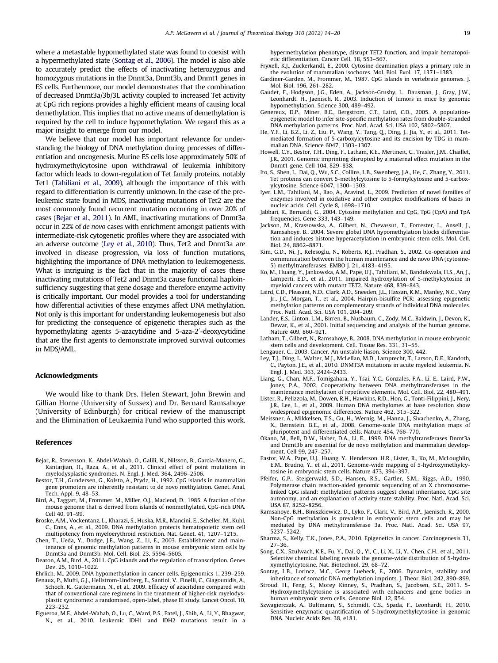<span id="page-5-0"></span>where a metastable hypomethylated state was found to coexist with a hypermethylated state (Sontag et al., 2006). The model is also able to accurately predict the effects of inactivating heterozygous and homozygous mutations in the Dnmt3a, Dnmt3b, and Dnmt1 genes in ES cells. Furthermore, our model demonstrates that the combination of decreased Dnmt3a/3b/3L activity coupled to increased Tet activity at CpG rich regions provides a highly efficient means of causing local demethylation. This implies that no active means of demethylation is required by the cell to induce hypomethylation. We regard this as a major insight to emerge from our model.

We believe that our model has important relevance for understanding the biology of DNA methylation during processes of differentiation and oncogenesis. Murine ES cells lose approximately 50% of hydroxymethylcytosine upon withdrawal of leukemia inhibitory factor which leads to down-regulation of Tet family proteins, notably Tet1 [\(Tahiliani et al., 2009](#page-6-0)), although the importance of this with regard to differentiation is currently unknown. In the case of the preleukemic state found in MDS, inactivating mutations of Tet2 are the most commonly found recurrent mutation occurring in over 20% of cases (Bejar et al., 2011). In AML, inactivating mutations of Dnmt3a occur in 22% of de novo cases with enrichment amongst patients with intermediate-risk cytogenetic profiles where they are associated with an adverse outcome (Ley et al., 2010). Thus, Tet2 and Dnmt3a are involved in disease progression, via loss of function mutations, highlighting the importance of DNA methylation to leukemogenesis. What is intriguing is the fact that in the majority of cases these inactivating mutations of Tet2 and Dnmt3a cause functional haploinsufficiency suggesting that gene dosage and therefore enzyme activity is critically important. Our model provides a tool for understanding how differential activities of these enzymes affect DNA methylation. Not only is this important for understanding leukemogenesis but also for predicting the consequence of epigenetic therapies such as the hypomethylating agents 5-azacytidine and 5-aza-2'-deoxycytidine that are the first agents to demonstrate improved survival outcomes in MDS/AML.

### Acknowledgments

We would like to thank Drs. Helen Stewart, John Brewin and Gillian Horne (University of Sussex) and Dr. Bernard Ramsahoye (University of Edinburgh) for critical review of the manuscript and the Elimination of Leukaemia Fund who supported this work.

#### References

- Bejar, R., Stevenson, K., Abdel-Wahab, O., Galili, N., Nilsson, B., Garcia-Manero, G., Kantarjian, H., Raza, A., et al., 2011. Clinical effect of point mutations in myelodysplastic syndromes. N. Engl. J. Med. 364, 2496–2506.
- Bestor, T.H., Gundersen, G., Kolsto, A., Prydz, H., 1992. CpG islands in mammalian gene promoters are inherently resistant to de novo methylation. Genet. Anal. Tech. Appl. 9, 48–53.
- Bird, A., Taggart, M., Frommer, M., Miller, O.J., Macleod, D., 1985. A fraction of the mouse genome that is derived from islands of nonmethylated, CpG-rich DNA. Cell 40, 91–99.
- Broske, A.M., Vockentanz, L., Kharazi, S., Huska, M.R., Mancini, E., Scheller, M., Kuhl, C., Enns, A., et al., 2009. DNA methylation protects hematopoietic stem cell multipotency from myeloerythroid restriction. Nat. Genet. 41, 1207–1215.
- Chen, T., Ueda, Y., Dodge, J.E., Wang, Z., Li, E., 2003. Establishment and maintenance of genomic methylation patterns in mouse embryonic stem cells by Dnmt3a and Dnmt3b. Mol. Cell. Biol. 23, 5594–5605.
- Deaton, A.M., Bird, A., 2011. CpG islands and the regulation of transcription. Genes Dev. 25, 1010–1022.

Ehrlich, M., 2009. DNA hypomethylation in cancer cells. Epigenomics 1, 239–259.

- Fenaux, P., Mufti, G.J., Hellstrom-Lindberg, E., Santini, V., Finelli, C., Giagounidis, A., Schoch, R., Gattermann, N., et al., 2009. Efficacy of azacitidine compared with that of conventional care regimens in the treatment of higher-risk myelodysplastic syndromes: a randomised, open-label, phase III study. Lancet Oncol. 10, 223–232.
- Figueroa, M.E., Abdel-Wahab, O., Lu, C., Ward, P.S., Patel, J., Shih, A., Li, Y., Bhagwat, N., et al., 2010. Leukemic IDH1 and IDH2 mutations result in a

hypermethylation phenotype, disrupt TET2 function, and impair hematopoietic differentiation. Cancer Cell. 18, 553–567.

- Fryxell, K.J., Zuckerkandl, E., 2000. Cytosine deamination plays a primary role in the evolution of mammalian isochores. Mol. Biol. Evol. 17, 1371–1383.
- Gardiner-Garden, M., Frommer, M., 1987. CpG islands in vertebrate genomes. J. Mol. Biol. 196, 261–282.
- Gaudet, F., Hodgson, J.G., Eden, A., Jackson-Grusby, L., Dausman, J., Gray, J.W., Leonhardt, H., Jaenisch, R., 2003. Induction of tumors in mice by genomic hypomethylation. Science 300, 489–492.
- Genereux, D.P., Miner, B.E., Bergstrom, C.T., Laird, C.D., 2005. A populationepigenetic model to infer site-specific methylation rates from double-stranded DNA methylation patterns. Proc. Natl. Acad. Sci. USA 102, 5802–5807.
- He, Y.F., Li, B.Z., Li, Z., Liu, P., Wang, Y., Tang, Q., Ding, J., Jia, Y., et al., 2011. Tetmediated formation of 5-carboxylcytosine and its excision by TDG in mammalian DNA. Science 6047, 1303–1307.
- Howell, C.Y., Bestor, T.H., Ding, F., Latham, K.E., Mertineit, C., Trasler, J.M., Chaillet, J.R., 2001. Genomic imprinting disrupted by a maternal effect mutation in the Dnmt1 gene. Cell 104, 829–838.
- Ito, S., Shen, L., Dai, Q., Wu, S.C., Collins, L.B., Swenberg, J.A., He, C., Zhang, Y., 2011. Tet proteins can convert 5-methylcytosine to 5-formylcytosine and 5-carboxylcytosine. Science 6047, 1300–1303.
- Iyer, L.M., Tahiliani, M., Rao, A., Aravind, L., 2009. Prediction of novel families of enzymes involved in oxidative and other complex modifications of bases in nucleic acids. Cell. Cycle 8, 1698–1710.
- Jabbari, K., Bernardi, G., 2004. Cytosine methylation and CpG, TpG (CpA) and TpA frequencies. Gene 333, 143–149.
- Jackson, M., Krassowska, A., Gilbert, N., Chevassut, T., Forrester, L., Ansell, J., Ramsahoye, B., 2004. Severe global DNA hypomethylation blocks differentiation and induces histone hyperacetylation in embryonic stem cells. Mol. Cell. Biol. 24, 8862–8871.
- Kim, G.D., Ni, J., Kelesoglu, N., Roberts, R.J., Pradhan, S., 2002. Co-operation and communication between the human maintenance and de novo DNA (cytosine-5) methyltransferases. EMBO J. 21, 4183–4195.
- Ko, M., Huang, Y., Jankowska, A.M., Pape, U.J., Tahiliani, M., Bandukwala, H.S., An, J., Lamperti, E.D., et al., 2011. Impaired hydroxylation of 5-methylcytosine in myeloid cancers with mutant TET2. Nature 468, 839–843.
- Laird, C.D., Pleasant, N.D., Clark, A.D., Sneeden, J.L., Hassan, K.M., Manley, N.C., Vary Jr., J.C., Morgan, T., et al., 2004. Hairpin-bisulfite PCR: assessing epigenetic methylation patterns on complementary strands of individual DNA molecules. Proc. Natl. Acad. Sci. USA 101, 204–209.
- Lander, E.S., Linton, L.M., Birren, B., Nusbaum, C., Zody, M.C., Baldwin, J., Devon, K., Dewar, K., et al., 2001. Initial sequencing and analysis of the human genome. Nature 409, 860–921.
- Latham, T., Gilbert, N., Ramsahoye, B., 2008. DNA methylation in mouse embryonic stem cells and development. Cell. Tissue Res. 331, 31–55.
- Lengauer, C., 2003. Cancer. An unstable liason. Science 300, 442.
- Ley, T.J., Ding, L., Walter, M.J., McLellan, M.D., Lamprecht, T., Larson, D.E., Kandoth, C., Payton, J.E., et al., 2010. DNMT3A mutations in acute myeloid leukemia. N. Engl. J. Med. 363, 2424–2433.
- Liang, G., Chan, M.F., Tomigahara, Y., Tsai, Y.C., Gonzales, F.A., Li, E., Laird, P.W., Jones, P.A., 2002. Cooperativity between DNA methyltransferases in the maintenance methylation of repetitive elements. Mol. Cell. Biol. 22, 480–491.
- Lister, R., Pelizzola, M., Dowen, R.H., Hawkins, R.D., Hon, G., Tonti-Filippini, J., Nery, J.R., Lee, L., et al., 2009. Human DNA methylomes at base resolution show widespread epigenomic differences. Nature 462, 315–322.
- Meissner, A., Mikkelsen, T.S., Gu, H., Wernig, M., Hanna, J., Sivachenko, A., Zhang, X., Bernstein, B.E., et al., 2008. Genome-scale DNA methylation maps of pluripotent and differentiated cells. Nature 454, 766–770.
- Okano, M., Bell, D.W., Haber, D.A., Li, E., 1999. DNA methyltransferases Dnmt3a and Dnmt3b are essential for de novo methylation and mammalian development. Cell 99, 247–257.
- Pastor, W.A., Pape, U.J., Huang, Y., Henderson, H.R., Lister, R., Ko, M., McLoughlin, E.M., Brudno, Y., et al., 2011. Genome-wide mapping of 5-hydroxymethylcytosine in embryonic stem cells. Nature 473, 394–397.
- Pfeifer, G.P., Steigerwald, S.D., Hansen, R.S., Gartler, S.M., Riggs, A.D., 1990. Polymerase chain reaction-aided genomic sequencing of an X chromosomelinked CpG island: methylation patterns suggest clonal inheritance, CpG site autonomy, and an explanation of activity state stability. Proc. Natl. Acad. Sci. USA 87, 8252–8256.
- Ramsahoye, B.H., Biniszkiewicz, D., Lyko, F., Clark, V., Bird, A.P., Jaenisch, R., 2000. Non-CpG methylation is prevalent in embryonic stem cells and may be mediated by DNA methyltransferase 3a. Proc. Natl. Acad. Sci. USA 97, 5237–5242.
- Sharma, S., Kelly, T.K., Jones, P.A., 2010. Epigenetics in cancer. Carcinogenesis 31, 27–36.
- Song, C.X., Szulwach, K.E., Fu, Y., Dai, Q., Yi, C., Li, X., Li, Y., Chen, C.H., et al., 2011. Selective chemical labeling reveals the genome-wide distribution of 5-hydroxymethylcytosine. Nat. Biotechnol. 29, 68–72.
- Sontag, L.B., Lorincz, M.C., Georg Luebeck, E., 2006. Dynamics, stability and inheritance of somatic DNA methylation imprints. J. Theor. Biol. 242, 890–899.
- Stroud, H., Feng, S., Morey Kinney, S., Pradhan, S., Jacobsen, S.E., 2011. 5- Hydroxymethylcytosine is associated with enhancers and gene bodies in human embryonic stem cells. Genome Biol. 12, R54.
- Szwagierczak, A., Bultmann, S., Schmidt, C.S., Spada, F., Leonhardt, H., 2010. Sensitive enzymatic quantification of 5-hydroxymethylcytosine in genomic DNA. Nucleic Acids Res. 38, e181.